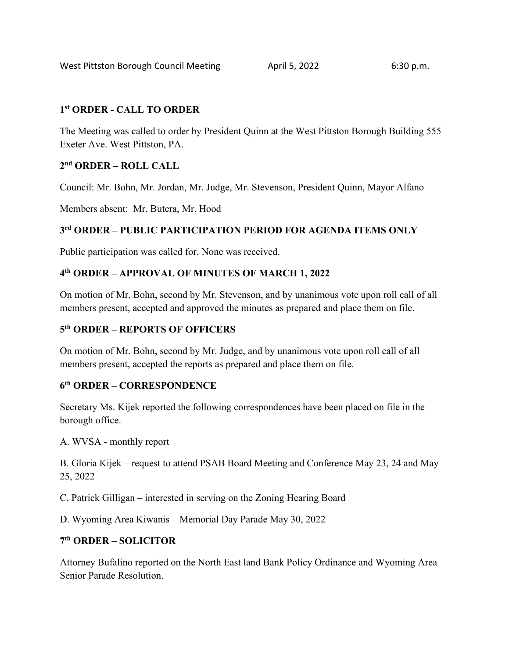### **1st ORDER - CALL TO ORDER**

The Meeting was called to order by President Quinn at the West Pittston Borough Building 555 Exeter Ave. West Pittston, PA.

## **2nd ORDER – ROLL CALL**

Council: Mr. Bohn, Mr. Jordan, Mr. Judge, Mr. Stevenson, President Quinn, Mayor Alfano

Members absent: Mr. Butera, Mr. Hood

## **3rd ORDER – PUBLIC PARTICIPATION PERIOD FOR AGENDA ITEMS ONLY**

Public participation was called for. None was received.

### **4th ORDER – APPROVAL OF MINUTES OF MARCH 1, 2022**

On motion of Mr. Bohn, second by Mr. Stevenson, and by unanimous vote upon roll call of all members present, accepted and approved the minutes as prepared and place them on file.

### **5th ORDER – REPORTS OF OFFICERS**

On motion of Mr. Bohn, second by Mr. Judge, and by unanimous vote upon roll call of all members present, accepted the reports as prepared and place them on file.

### **6th ORDER – CORRESPONDENCE**

Secretary Ms. Kijek reported the following correspondences have been placed on file in the borough office.

A. WVSA - monthly report

B. Gloria Kijek – request to attend PSAB Board Meeting and Conference May 23, 24 and May 25, 2022

C. Patrick Gilligan – interested in serving on the Zoning Hearing Board

D. Wyoming Area Kiwanis – Memorial Day Parade May 30, 2022

### **7th ORDER – SOLICITOR**

Attorney Bufalino reported on the North East land Bank Policy Ordinance and Wyoming Area Senior Parade Resolution.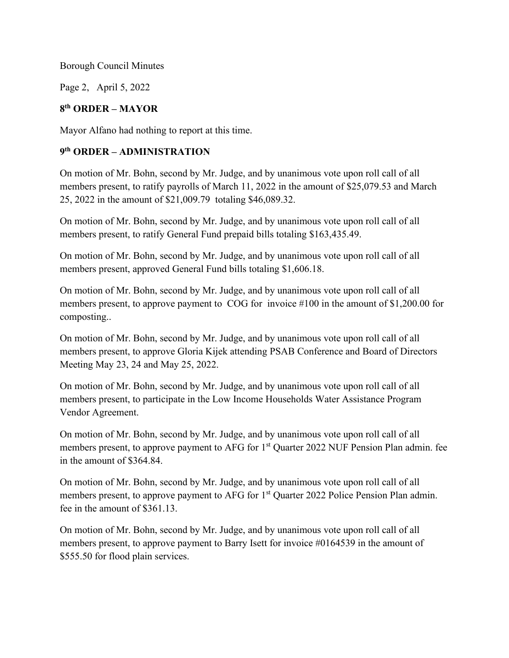Page 2, April 5, 2022

### **8th ORDER – MAYOR**

Mayor Alfano had nothing to report at this time.

### **9th ORDER – ADMINISTRATION**

On motion of Mr. Bohn, second by Mr. Judge, and by unanimous vote upon roll call of all members present, to ratify payrolls of March 11, 2022 in the amount of \$25,079.53 and March 25, 2022 in the amount of \$21,009.79 totaling \$46,089.32.

On motion of Mr. Bohn, second by Mr. Judge, and by unanimous vote upon roll call of all members present, to ratify General Fund prepaid bills totaling \$163,435.49.

On motion of Mr. Bohn, second by Mr. Judge, and by unanimous vote upon roll call of all members present, approved General Fund bills totaling \$1,606.18.

On motion of Mr. Bohn, second by Mr. Judge, and by unanimous vote upon roll call of all members present, to approve payment to COG for invoice #100 in the amount of \$1,200.00 for composting..

On motion of Mr. Bohn, second by Mr. Judge, and by unanimous vote upon roll call of all members present, to approve Gloria Kijek attending PSAB Conference and Board of Directors Meeting May 23, 24 and May 25, 2022.

On motion of Mr. Bohn, second by Mr. Judge, and by unanimous vote upon roll call of all members present, to participate in the Low Income Households Water Assistance Program Vendor Agreement.

On motion of Mr. Bohn, second by Mr. Judge, and by unanimous vote upon roll call of all members present, to approve payment to AFG for 1<sup>st</sup> Quarter 2022 NUF Pension Plan admin. fee in the amount of \$364.84.

On motion of Mr. Bohn, second by Mr. Judge, and by unanimous vote upon roll call of all members present, to approve payment to AFG for 1<sup>st</sup> Quarter 2022 Police Pension Plan admin. fee in the amount of \$361.13.

On motion of Mr. Bohn, second by Mr. Judge, and by unanimous vote upon roll call of all members present, to approve payment to Barry Isett for invoice #0164539 in the amount of \$555.50 for flood plain services.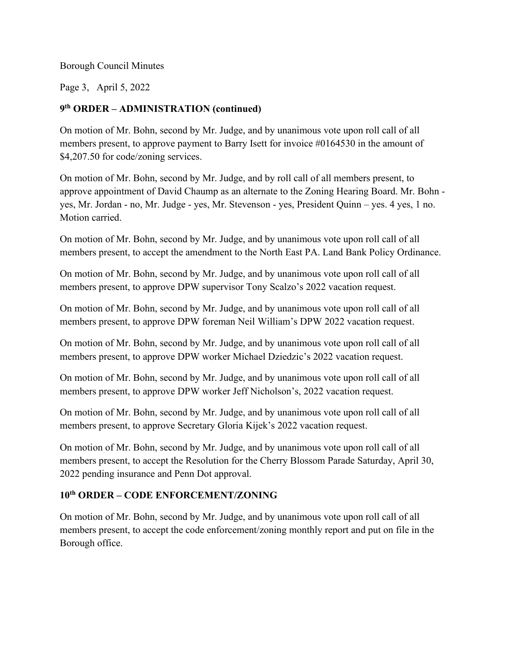Page 3, April 5, 2022

## **9th ORDER – ADMINISTRATION (continued)**

On motion of Mr. Bohn, second by Mr. Judge, and by unanimous vote upon roll call of all members present, to approve payment to Barry Isett for invoice #0164530 in the amount of \$4,207.50 for code/zoning services.

On motion of Mr. Bohn, second by Mr. Judge, and by roll call of all members present, to approve appointment of David Chaump as an alternate to the Zoning Hearing Board. Mr. Bohn yes, Mr. Jordan - no, Mr. Judge - yes, Mr. Stevenson - yes, President Quinn – yes. 4 yes, 1 no. Motion carried.

On motion of Mr. Bohn, second by Mr. Judge, and by unanimous vote upon roll call of all members present, to accept the amendment to the North East PA. Land Bank Policy Ordinance.

On motion of Mr. Bohn, second by Mr. Judge, and by unanimous vote upon roll call of all members present, to approve DPW supervisor Tony Scalzo's 2022 vacation request.

On motion of Mr. Bohn, second by Mr. Judge, and by unanimous vote upon roll call of all members present, to approve DPW foreman Neil William's DPW 2022 vacation request.

On motion of Mr. Bohn, second by Mr. Judge, and by unanimous vote upon roll call of all members present, to approve DPW worker Michael Dziedzic's 2022 vacation request.

On motion of Mr. Bohn, second by Mr. Judge, and by unanimous vote upon roll call of all members present, to approve DPW worker Jeff Nicholson's, 2022 vacation request.

On motion of Mr. Bohn, second by Mr. Judge, and by unanimous vote upon roll call of all members present, to approve Secretary Gloria Kijek's 2022 vacation request.

On motion of Mr. Bohn, second by Mr. Judge, and by unanimous vote upon roll call of all members present, to accept the Resolution for the Cherry Blossom Parade Saturday, April 30, 2022 pending insurance and Penn Dot approval.

## **10th ORDER – CODE ENFORCEMENT/ZONING**

On motion of Mr. Bohn, second by Mr. Judge, and by unanimous vote upon roll call of all members present, to accept the code enforcement/zoning monthly report and put on file in the Borough office.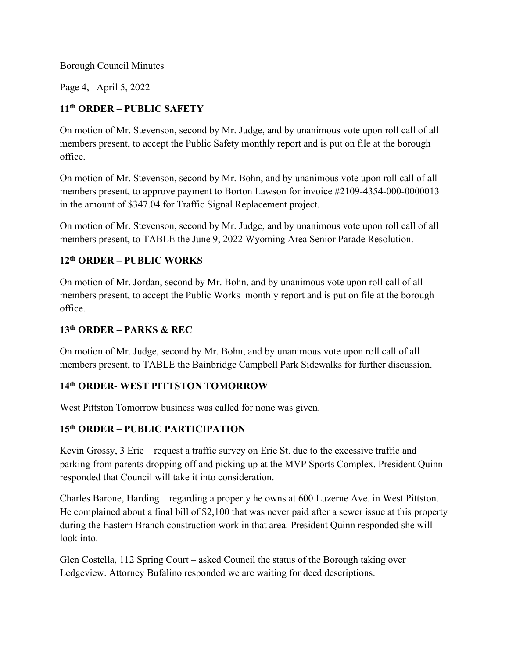Page 4, April 5, 2022

## **11th ORDER – PUBLIC SAFETY**

On motion of Mr. Stevenson, second by Mr. Judge, and by unanimous vote upon roll call of all members present, to accept the Public Safety monthly report and is put on file at the borough office.

On motion of Mr. Stevenson, second by Mr. Bohn, and by unanimous vote upon roll call of all members present, to approve payment to Borton Lawson for invoice #2109-4354-000-0000013 in the amount of \$347.04 for Traffic Signal Replacement project.

On motion of Mr. Stevenson, second by Mr. Judge, and by unanimous vote upon roll call of all members present, to TABLE the June 9, 2022 Wyoming Area Senior Parade Resolution.

## **12th ORDER – PUBLIC WORKS**

On motion of Mr. Jordan, second by Mr. Bohn, and by unanimous vote upon roll call of all members present, to accept the Public Works monthly report and is put on file at the borough office.

### **13th ORDER – PARKS & REC**

On motion of Mr. Judge, second by Mr. Bohn, and by unanimous vote upon roll call of all members present, to TABLE the Bainbridge Campbell Park Sidewalks for further discussion.

## **14th ORDER- WEST PITTSTON TOMORROW**

West Pittston Tomorrow business was called for none was given.

### **15th ORDER – PUBLIC PARTICIPATION**

Kevin Grossy, 3 Erie – request a traffic survey on Erie St. due to the excessive traffic and parking from parents dropping off and picking up at the MVP Sports Complex. President Quinn responded that Council will take it into consideration.

Charles Barone, Harding – regarding a property he owns at 600 Luzerne Ave. in West Pittston. He complained about a final bill of \$2,100 that was never paid after a sewer issue at this property during the Eastern Branch construction work in that area. President Quinn responded she will look into.

Glen Costella, 112 Spring Court – asked Council the status of the Borough taking over Ledgeview. Attorney Bufalino responded we are waiting for deed descriptions.